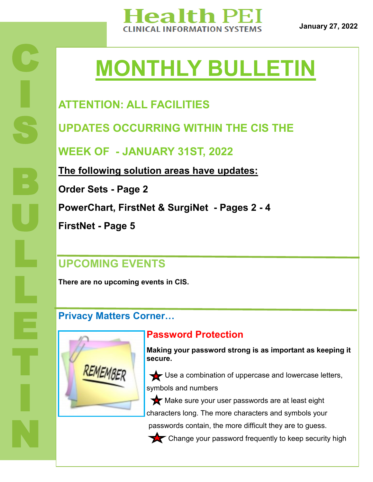

**January 27, 2022**

# **MONTHLY BULLETIN**

# **ATTENTION: ALL FACILITIES**

**UPDATES OCCURRING WITHIN THE CIS THE** 

**WEEK OF - JANUARY 31ST, 2022**

**The following solution areas have updates:**

**Order Sets - Page 2**

**C** 

I

S

B

U

L

L

T

I

N

**PowerChart, FirstNet & SurgiNet - Pages 2 - 4**

**FirstNet - Page 5**

### **UPCOMING EVENTS**

**There are no upcoming events in CIS.** 

### **Privacy Matters Corner…**



#### **Password Protection**

**Making your password strong is as important as keeping it secure.**

Use a combination of uppercase and lowercase letters, symbols and numbers

Make sure your user passwords are at least eight characters long. The more characters and symbols your passwords contain, the more difficult they are to guess.

Change your password frequently to keep security high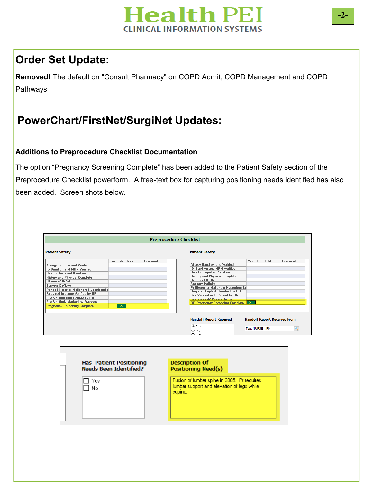

# **Order Set Update:**

**Removed!** The default on "Consult Pharmacy" on COPD Admit, COPD Management and COPD Pathways

# **PowerChart/FirstNet/SurgiNet Updates:**

#### **Additions to Preprocedure Checklist Documentation**

The option "Pregnancy Screening Complete" has been added to the Patient Safety section of the Preprocedure Checklist powerform. A free-text box for capturing positioning needs identified has also been added. Screen shots below.

|                                          |     |    |     |         | <b>Preprocedure Checklist</b>                                         |
|------------------------------------------|-----|----|-----|---------|-----------------------------------------------------------------------|
| <b>Patient Safety</b>                    |     |    |     |         | <b>Patient Safety</b>                                                 |
|                                          | Yes | No | N/A | Comment | N/A<br>No<br>Yes<br>Comment                                           |
| Allergy Band on and Verified             |     |    |     |         | Alleray Band on and Verified                                          |
| <b>ID Band on and MRN Verified</b>       |     |    |     |         | ID Band on and MRN Verified                                           |
| Hearing Impaired Band on                 |     |    |     |         | Hearing Impaired Band on                                              |
| <b>History and Physical Complete</b>     |     |    |     |         | <b>History and Physical Complete</b>                                  |
| History of IDDM                          |     |    |     |         | <b>History of IDDM</b>                                                |
| <b>Sensory Deficits</b>                  |     |    |     |         | <b>Sensory Deficits</b>                                               |
| Pt has History of Malignant Hyperthermia |     |    |     |         | Pt History of Malignant Hyperthermia                                  |
| Required Implants Verified by OR         |     |    |     |         | Required Implants Verified by OR                                      |
| Site Verified with Patient by RN         |     |    |     |         | Site Verified with Patient by RN                                      |
| Site Verified/ Marked by Surgeon         |     |    |     |         | Site Verified/ Marked by Surgeon                                      |
| <b>Pregnancy Screening Complete</b>      |     | ×. |     |         | $\overline{\mathsf{x}}$<br>OR Pregnancy Screening Complete            |
|                                          |     |    |     |         |                                                                       |
|                                          |     |    |     |         |                                                                       |
|                                          |     |    |     |         | <b>Handoff Report Received</b><br><b>Handoff Report Received From</b> |
|                                          |     |    |     |         | l <sup>⊙</sup> Yes<br>Test. NURSE1. RN<br>No<br>$\cap$ N/A            |

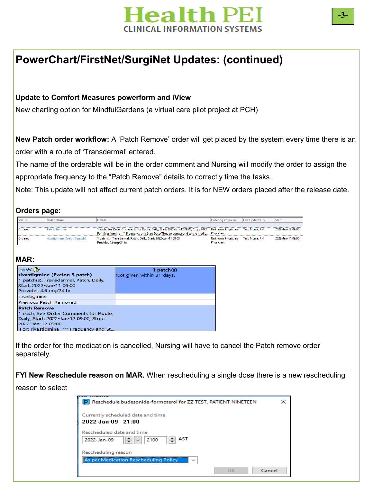

### **PowerChart/FirstNet/SurgiNet Updates: (continued)**

#### **Update to Comfort Measures powerform and iView**

New charting option for MindfulGardens (a virtual care pilot project at PCH)

**New Patch order workflow:** A 'Patch Remove' order will get placed by the system every time there is an order with a route of 'Transdermal' entered.

The name of the orderable will be in the order comment and Nursing will modify the order to assign the appropriate frequency to the "Patch Remove" details to correctly time the tasks.

Note: This update will not affect current patch orders. It is for NEW orders placed after the release date.

#### **Orders page:**

| <b>Status</b> | Order Name                    | <b>Details</b>                                                                                                        | <b>Ordering Physician</b> | Last Updated By | Start             |
|---------------|-------------------------------|-----------------------------------------------------------------------------------------------------------------------|---------------------------|-----------------|-------------------|
|               |                               |                                                                                                                       |                           |                 |                   |
| Ordered       | <b>Patch Remove</b>           | 1 each, See Order Comments for Route, Daily, Start: 2022-Jan-12 09:00, Stop: 2022… Unknown Physician, Test, Nurse, RN |                           |                 | 2022-Jan-12 09:00 |
|               |                               | For: rivastigmine *** Frequency and Start Date/Time to correspond to the medic Physician,                             |                           |                 |                   |
| Ordered       | rivastigmine (Exelon 5 patch) | 1 patch(s), Transdermal, Patch, Daily, Start: 2022-Jan-11 09:00                                                       | Unknown Physician,        | Test. Nurse. RN | 2022-Jan-11 09:00 |
|               |                               | Provides 4.6 mg/24 hr                                                                                                 | Physician,                |                 |                   |

#### **MAR:**

| $\ln 66$ $\oslash$<br>rivastigmine (Exelon 5 patch)<br>1 patch(s), Transdermal, Patch, Daily,<br>Start: 2022-Jan-11 09:00<br>Provides 4.6 mg/24 hr                    | $1$ patch $(s)$<br>Not given within 31 days. |
|-----------------------------------------------------------------------------------------------------------------------------------------------------------------------|----------------------------------------------|
| rivastigmine                                                                                                                                                          |                                              |
| Previous Patch Removed                                                                                                                                                |                                              |
| <b>Patch Remove</b><br>1 each, See Order Comments for Route,<br>Daily, Start: 2022-Jan-12 09:00, Stop:<br>2022-Jan-12 09:00<br>For: rivastigmine *** Frequency and St |                                              |

If the order for the medication is cancelled, Nursing will have to cancel the Patch remove order separately.

**FYI New Reschedule reason on MAR.** When rescheduling a single dose there is a new rescheduling

#### reason to select

| P Reschedule budesonide-formoterol for ZZ TEST, PATIENT NINETEEN                     | $\times$ |
|--------------------------------------------------------------------------------------|----------|
| Currently scheduled date and time<br>2022-Jan-09 21:00                               |          |
| Rescheduled date and time<br>$\Rightarrow$ AST<br>H<br>2100<br>2022-Jan-09<br>$\sim$ |          |
| Rescheduling reason<br>As per Medication Rescheduling Policy<br>$\checkmark$         |          |
| OK                                                                                   | Cancel   |

**-3-**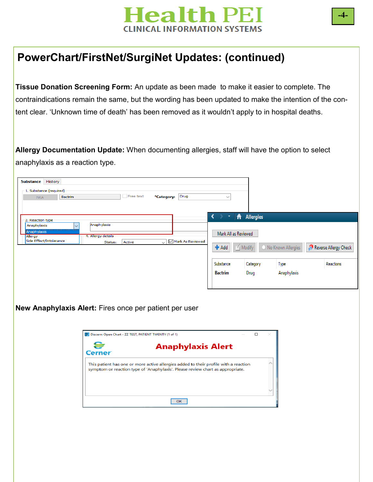

# **PowerChart/FirstNet/SurgiNet Updates: (continued)**

**Tissue Donation Screening Form:** An update as been made to make it easier to complete. The contraindications remain the same, but the wording has been updated to make the intention of the content clear. 'Unknown time of death' has been removed as it wouldn't apply to in hospital deaths.

**Allergy Documentation Update:** When documenting allergies, staff will have the option to select anaphylaxis as a reaction type.

| 1. Substance (required) |         |                                                                    |           |                 |                                                                                                                                                                        |                      |                |                    |                       |
|-------------------------|---------|--------------------------------------------------------------------|-----------|-----------------|------------------------------------------------------------------------------------------------------------------------------------------------------------------------|----------------------|----------------|--------------------|-----------------------|
| <b>NKA</b>              | Bactrim |                                                                    | Free text | *Category: Drug |                                                                                                                                                                        | $\checkmark$         |                |                    |                       |
|                         |         |                                                                    |           |                 |                                                                                                                                                                        |                      |                |                    |                       |
|                         |         |                                                                    |           |                 |                                                                                                                                                                        |                      |                |                    |                       |
| 2. Reaction type        |         |                                                                    |           |                 |                                                                                                                                                                        |                      | Allergies<br>₩ |                    |                       |
| Anaphylaxis             |         | Anaphylaxis                                                        |           |                 |                                                                                                                                                                        |                      |                |                    |                       |
| Anaphylaxis<br>Allergy  |         | 4. Allergy details                                                 |           |                 |                                                                                                                                                                        | Mark All as Reviewed |                |                    |                       |
| Side Effect/Intolerance |         | Status:                                                            | Active    | ◡               | Mark As Reviewed                                                                                                                                                       |                      |                |                    |                       |
|                         |         |                                                                    |           |                 |                                                                                                                                                                        | <b>+</b> Add         | Modify         | No Known Allergies | Reverse Allergy Check |
|                         |         |                                                                    |           |                 |                                                                                                                                                                        |                      |                |                    |                       |
|                         |         |                                                                    |           |                 |                                                                                                                                                                        | Substance            | Category       | Type               | Reactions             |
|                         |         |                                                                    |           |                 |                                                                                                                                                                        | <b>Bactrim</b>       | Drug           | Anaphylaxis        |                       |
|                         |         |                                                                    |           |                 |                                                                                                                                                                        |                      |                |                    |                       |
|                         |         |                                                                    |           |                 |                                                                                                                                                                        |                      |                |                    |                       |
|                         |         |                                                                    |           |                 |                                                                                                                                                                        |                      |                |                    |                       |
|                         |         | New Anaphylaxis Alert: Fires once per patient per user             |           |                 |                                                                                                                                                                        |                      |                |                    |                       |
|                         |         | P Discern: Open Chart - ZZ TEST, PATIENT TWENTY (1 of 1)<br>Cerner |           |                 | <b>Anaphylaxis Alert</b>                                                                                                                                               |                      | $\Box$         |                    |                       |
|                         |         |                                                                    |           |                 |                                                                                                                                                                        |                      |                |                    |                       |
|                         |         |                                                                    |           |                 | This patient has one or more active allergies added to their profile with a reaction<br>symptom or reaction type of 'Anaphylaxis'. Please review chart as appropriate. |                      |                |                    |                       |
|                         |         |                                                                    |           |                 |                                                                                                                                                                        |                      |                |                    |                       |
|                         |         |                                                                    |           |                 |                                                                                                                                                                        |                      |                |                    |                       |
|                         |         |                                                                    |           |                 |                                                                                                                                                                        |                      |                |                    |                       |
|                         |         |                                                                    |           |                 | OK                                                                                                                                                                     |                      |                |                    |                       |